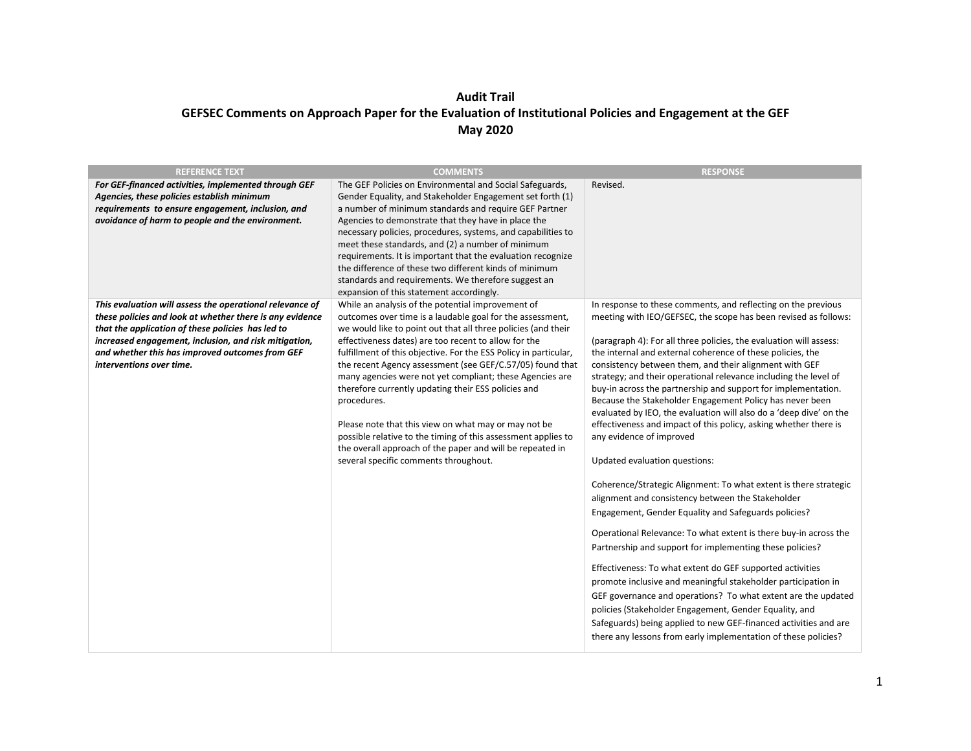## **Audit Trail GEFSEC Comments on Approach Paper for the Evaluation of Institutional Policies and Engagement at the GEF May 2020**

| <b>REFERENCE TEXT</b>                                                                                                                                                                                                                                                                                             | <b>COMMENTS</b>                                                                                                                                                                                                                                                                                                                                                                                                                                                                                                                                                                                                                                                                                                                           | <b>RESPONSE</b>                                                                                                                                                                                                                                                                                                                                                                                                                                                                                                                                                                                                                                                                                                                                                                                                                                                                                                                                                                                                                                                                                                                                                                                                                                                                                                                                                                                                                                        |
|-------------------------------------------------------------------------------------------------------------------------------------------------------------------------------------------------------------------------------------------------------------------------------------------------------------------|-------------------------------------------------------------------------------------------------------------------------------------------------------------------------------------------------------------------------------------------------------------------------------------------------------------------------------------------------------------------------------------------------------------------------------------------------------------------------------------------------------------------------------------------------------------------------------------------------------------------------------------------------------------------------------------------------------------------------------------------|--------------------------------------------------------------------------------------------------------------------------------------------------------------------------------------------------------------------------------------------------------------------------------------------------------------------------------------------------------------------------------------------------------------------------------------------------------------------------------------------------------------------------------------------------------------------------------------------------------------------------------------------------------------------------------------------------------------------------------------------------------------------------------------------------------------------------------------------------------------------------------------------------------------------------------------------------------------------------------------------------------------------------------------------------------------------------------------------------------------------------------------------------------------------------------------------------------------------------------------------------------------------------------------------------------------------------------------------------------------------------------------------------------------------------------------------------------|
| For GEF-financed activities, implemented through GEF<br>Agencies, these policies establish minimum<br>requirements to ensure engagement, inclusion, and<br>avoidance of harm to people and the environment.                                                                                                       | The GEF Policies on Environmental and Social Safeguards,<br>Gender Equality, and Stakeholder Engagement set forth (1)<br>a number of minimum standards and require GEF Partner<br>Agencies to demonstrate that they have in place the<br>necessary policies, procedures, systems, and capabilities to<br>meet these standards, and (2) a number of minimum<br>requirements. It is important that the evaluation recognize<br>the difference of these two different kinds of minimum<br>standards and requirements. We therefore suggest an<br>expansion of this statement accordingly.                                                                                                                                                    | Revised.                                                                                                                                                                                                                                                                                                                                                                                                                                                                                                                                                                                                                                                                                                                                                                                                                                                                                                                                                                                                                                                                                                                                                                                                                                                                                                                                                                                                                                               |
| This evaluation will assess the operational relevance of<br>these policies and look at whether there is any evidence<br>that the application of these policies has led to<br>increased engagement, inclusion, and risk mitigation,<br>and whether this has improved outcomes from GEF<br>interventions over time. | While an analysis of the potential improvement of<br>outcomes over time is a laudable goal for the assessment,<br>we would like to point out that all three policies (and their<br>effectiveness dates) are too recent to allow for the<br>fulfillment of this objective. For the ESS Policy in particular,<br>the recent Agency assessment (see GEF/C.57/05) found that<br>many agencies were not yet compliant; these Agencies are<br>therefore currently updating their ESS policies and<br>procedures.<br>Please note that this view on what may or may not be<br>possible relative to the timing of this assessment applies to<br>the overall approach of the paper and will be repeated in<br>several specific comments throughout. | In response to these comments, and reflecting on the previous<br>meeting with IEO/GEFSEC, the scope has been revised as follows:<br>(paragraph 4): For all three policies, the evaluation will assess:<br>the internal and external coherence of these policies, the<br>consistency between them, and their alignment with GEF<br>strategy; and their operational relevance including the level of<br>buy-in across the partnership and support for implementation.<br>Because the Stakeholder Engagement Policy has never been<br>evaluated by IEO, the evaluation will also do a 'deep dive' on the<br>effectiveness and impact of this policy, asking whether there is<br>any evidence of improved<br>Updated evaluation questions:<br>Coherence/Strategic Alignment: To what extent is there strategic<br>alignment and consistency between the Stakeholder<br>Engagement, Gender Equality and Safeguards policies?<br>Operational Relevance: To what extent is there buy-in across the<br>Partnership and support for implementing these policies?<br>Effectiveness: To what extent do GEF supported activities<br>promote inclusive and meaningful stakeholder participation in<br>GEF governance and operations? To what extent are the updated<br>policies (Stakeholder Engagement, Gender Equality, and<br>Safeguards) being applied to new GEF-financed activities and are<br>there any lessons from early implementation of these policies? |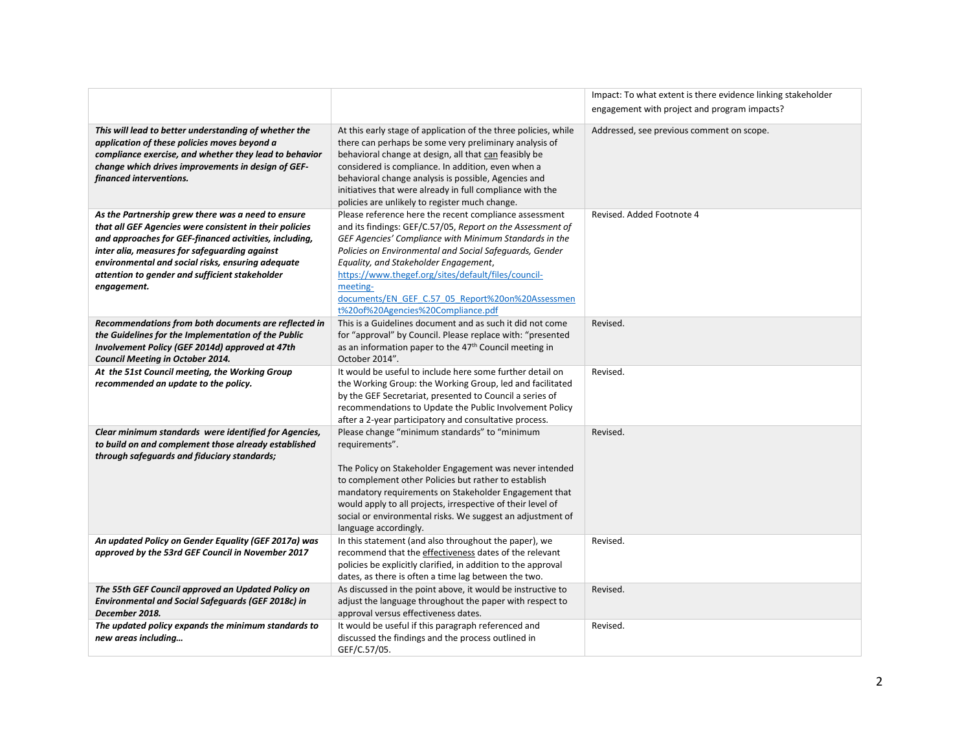|                                                                                                                                                                                                                                                                                                                                                |                                                                                                                                                                                                                                                                                                                                                                                                                                                 | Impact: To what extent is there evidence linking stakeholder |
|------------------------------------------------------------------------------------------------------------------------------------------------------------------------------------------------------------------------------------------------------------------------------------------------------------------------------------------------|-------------------------------------------------------------------------------------------------------------------------------------------------------------------------------------------------------------------------------------------------------------------------------------------------------------------------------------------------------------------------------------------------------------------------------------------------|--------------------------------------------------------------|
|                                                                                                                                                                                                                                                                                                                                                |                                                                                                                                                                                                                                                                                                                                                                                                                                                 | engagement with project and program impacts?                 |
| This will lead to better understanding of whether the<br>application of these policies moves beyond a<br>compliance exercise, and whether they lead to behavior<br>change which drives improvements in design of GEF-<br>financed interventions.                                                                                               | At this early stage of application of the three policies, while<br>there can perhaps be some very preliminary analysis of<br>behavioral change at design, all that can feasibly be<br>considered is compliance. In addition, even when a<br>behavioral change analysis is possible, Agencies and<br>initiatives that were already in full compliance with the<br>policies are unlikely to register much change.                                 | Addressed, see previous comment on scope.                    |
| As the Partnership grew there was a need to ensure<br>that all GEF Agencies were consistent in their policies<br>and approaches for GEF-financed activities, including,<br>inter alia, measures for safeguarding against<br>environmental and social risks, ensuring adequate<br>attention to gender and sufficient stakeholder<br>engagement. | Please reference here the recent compliance assessment<br>and its findings: GEF/C.57/05, Report on the Assessment of<br>GEF Agencies' Compliance with Minimum Standards in the<br>Policies on Environmental and Social Safeguards, Gender<br>Equality, and Stakeholder Engagement,<br>https://www.thegef.org/sites/default/files/council-<br>meeting-<br>documents/EN GEF C.57 05 Report%20on%20Assessmen<br>t%20of%20Agencies%20Compliance.pdf | Revised. Added Footnote 4                                    |
| Recommendations from both documents are reflected in<br>the Guidelines for the Implementation of the Public<br>Involvement Policy (GEF 2014d) approved at 47th<br>Council Meeting in October 2014.                                                                                                                                             | This is a Guidelines document and as such it did not come<br>for "approval" by Council. Please replace with: "presented<br>as an information paper to the 47 <sup>th</sup> Council meeting in<br>October 2014".                                                                                                                                                                                                                                 | Revised.                                                     |
| At the 51st Council meeting, the Working Group<br>recommended an update to the policy.                                                                                                                                                                                                                                                         | It would be useful to include here some further detail on<br>the Working Group: the Working Group, led and facilitated<br>by the GEF Secretariat, presented to Council a series of<br>recommendations to Update the Public Involvement Policy<br>after a 2-year participatory and consultative process.                                                                                                                                         | Revised.                                                     |
| Clear minimum standards were identified for Agencies,<br>to build on and complement those already established<br>through safeguards and fiduciary standards;                                                                                                                                                                                   | Please change "minimum standards" to "minimum<br>requirements".<br>The Policy on Stakeholder Engagement was never intended<br>to complement other Policies but rather to establish<br>mandatory requirements on Stakeholder Engagement that<br>would apply to all projects, irrespective of their level of<br>social or environmental risks. We suggest an adjustment of<br>language accordingly.                                               | Revised.                                                     |
| An updated Policy on Gender Equality (GEF 2017a) was<br>approved by the 53rd GEF Council in November 2017                                                                                                                                                                                                                                      | In this statement (and also throughout the paper), we<br>recommend that the effectiveness dates of the relevant<br>policies be explicitly clarified, in addition to the approval<br>dates, as there is often a time lag between the two.                                                                                                                                                                                                        | Revised.                                                     |
| The 55th GEF Council approved an Updated Policy on<br><b>Environmental and Social Safeguards (GEF 2018c) in</b><br>December 2018.                                                                                                                                                                                                              | As discussed in the point above, it would be instructive to<br>adjust the language throughout the paper with respect to<br>approval versus effectiveness dates.                                                                                                                                                                                                                                                                                 | Revised.                                                     |
| The updated policy expands the minimum standards to<br>new areas including                                                                                                                                                                                                                                                                     | It would be useful if this paragraph referenced and<br>discussed the findings and the process outlined in<br>GEF/C.57/05.                                                                                                                                                                                                                                                                                                                       | Revised.                                                     |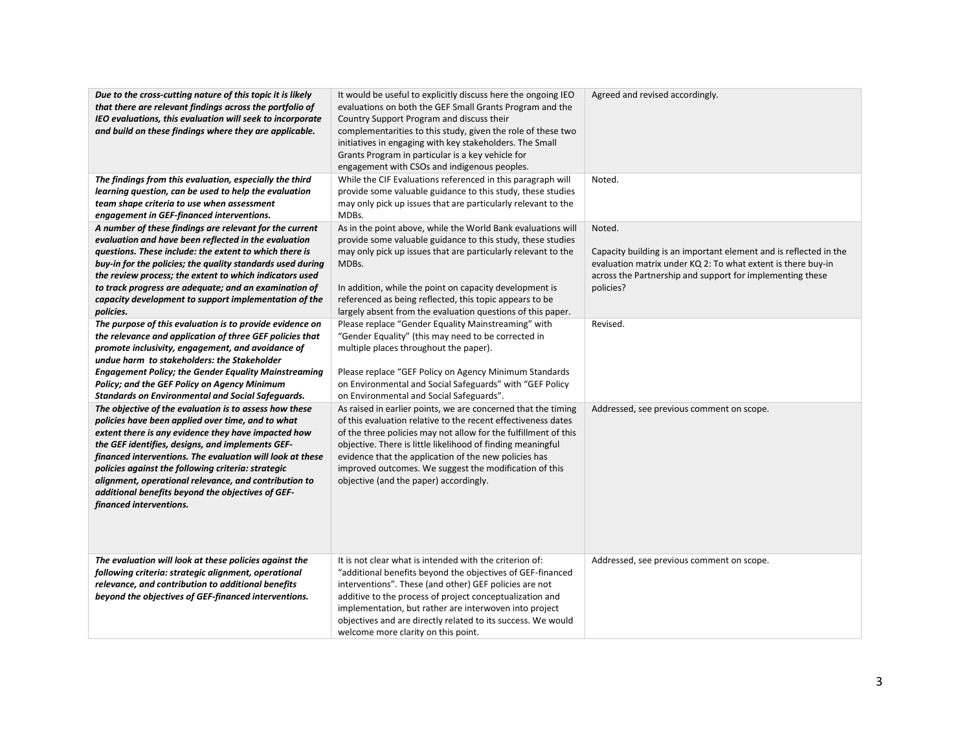| Due to the cross-cutting nature of this topic it is likely<br>that there are relevant findings across the portfolio of<br>IEO evaluations, this evaluation will seek to incorporate<br>and build on these findings where they are applicable.<br>The findings from this evaluation, especially the third<br>learning question, can be used to help the evaluation                                                                                                                  | It would be useful to explicitly discuss here the ongoing IEO<br>evaluations on both the GEF Small Grants Program and the<br>Country Support Program and discuss their<br>complementarities to this study, given the role of these two<br>initiatives in engaging with key stakeholders. The Small<br>Grants Program in particular is a key vehicle for<br>engagement with CSOs and indigenous peoples.<br>While the CIF Evaluations referenced in this paragraph will<br>provide some valuable guidance to this study, these studies | Agreed and revised accordingly.<br>Noted.                                                                                                                                                                             |
|------------------------------------------------------------------------------------------------------------------------------------------------------------------------------------------------------------------------------------------------------------------------------------------------------------------------------------------------------------------------------------------------------------------------------------------------------------------------------------|---------------------------------------------------------------------------------------------------------------------------------------------------------------------------------------------------------------------------------------------------------------------------------------------------------------------------------------------------------------------------------------------------------------------------------------------------------------------------------------------------------------------------------------|-----------------------------------------------------------------------------------------------------------------------------------------------------------------------------------------------------------------------|
| team shape criteria to use when assessment<br>engagement in GEF-financed interventions.                                                                                                                                                                                                                                                                                                                                                                                            | may only pick up issues that are particularly relevant to the<br>MDBs.                                                                                                                                                                                                                                                                                                                                                                                                                                                                |                                                                                                                                                                                                                       |
| A number of these findings are relevant for the current<br>evaluation and have been reflected in the evaluation<br>questions. These include: the extent to which there is<br>buy-in for the policies; the quality standards used during<br>the review process; the extent to which indicators used<br>to track progress are adequate; and an examination of<br>capacity development to support implementation of the<br>policies.                                                  | As in the point above, while the World Bank evaluations will<br>provide some valuable guidance to this study, these studies<br>may only pick up issues that are particularly relevant to the<br>MDBs.<br>In addition, while the point on capacity development is<br>referenced as being reflected, this topic appears to be<br>largely absent from the evaluation questions of this paper.                                                                                                                                            | Noted.<br>Capacity building is an important element and is reflected in the<br>evaluation matrix under KQ 2: To what extent is there buy-in<br>across the Partnership and support for implementing these<br>policies? |
| The purpose of this evaluation is to provide evidence on<br>the relevance and application of three GEF policies that<br>promote inclusivity, engagement, and avoidance of<br>undue harm to stakeholders: the Stakeholder<br><b>Engagement Policy; the Gender Equality Mainstreaming</b><br>Policy; and the GEF Policy on Agency Minimum<br><b>Standards on Environmental and Social Safeguards.</b>                                                                                | Please replace "Gender Equality Mainstreaming" with<br>"Gender Equality" (this may need to be corrected in<br>multiple places throughout the paper).<br>Please replace "GEF Policy on Agency Minimum Standards<br>on Environmental and Social Safeguards" with "GEF Policy<br>on Environmental and Social Safeguards".                                                                                                                                                                                                                | Revised.                                                                                                                                                                                                              |
| The objective of the evaluation is to assess how these<br>policies have been applied over time, and to what<br>extent there is any evidence they have impacted how<br>the GEF identifies, designs, and implements GEF-<br>financed interventions. The evaluation will look at these<br>policies against the following criteria: strategic<br>alignment, operational relevance, and contribution to<br>additional benefits beyond the objectives of GEF-<br>financed interventions. | As raised in earlier points, we are concerned that the timing<br>of this evaluation relative to the recent effectiveness dates<br>of the three policies may not allow for the fulfillment of this<br>objective. There is little likelihood of finding meaningful<br>evidence that the application of the new policies has<br>improved outcomes. We suggest the modification of this<br>objective (and the paper) accordingly.                                                                                                         | Addressed, see previous comment on scope.                                                                                                                                                                             |
| The evaluation will look at these policies against the<br>following criteria: strategic alignment, operational<br>relevance, and contribution to additional benefits<br>beyond the objectives of GEF-financed interventions.                                                                                                                                                                                                                                                       | It is not clear what is intended with the criterion of:<br>"additional benefits beyond the objectives of GEF-financed<br>interventions". These (and other) GEF policies are not<br>additive to the process of project conceptualization and<br>implementation, but rather are interwoven into project<br>objectives and are directly related to its success. We would<br>welcome more clarity on this point.                                                                                                                          | Addressed, see previous comment on scope.                                                                                                                                                                             |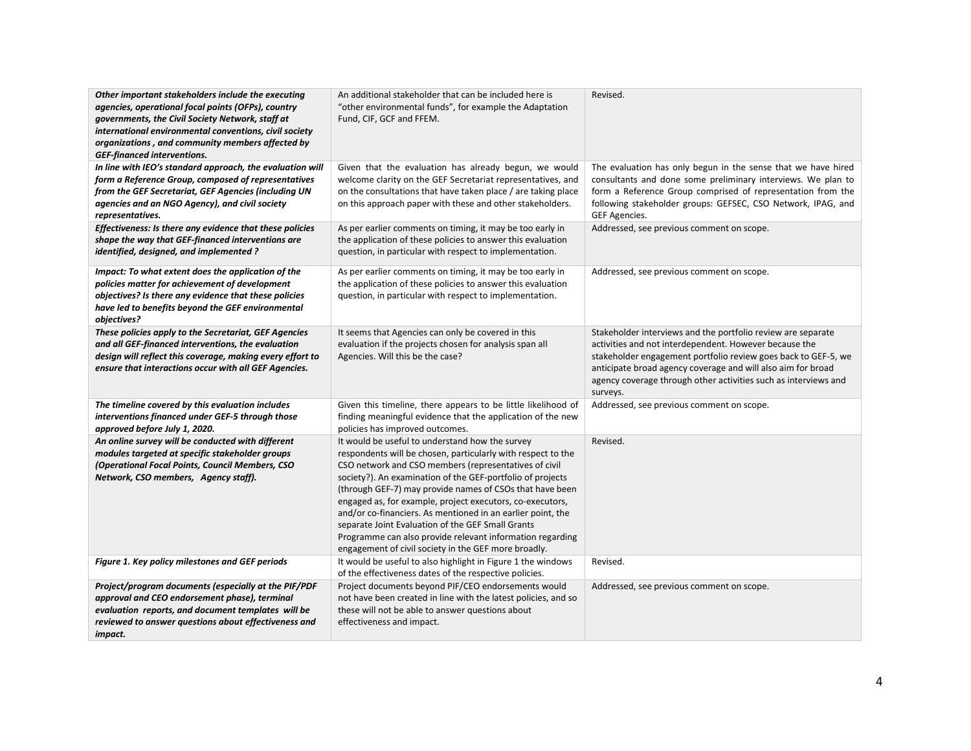| Other important stakeholders include the executing<br>agencies, operational focal points (OFPs), country<br>governments, the Civil Society Network, staff at<br>international environmental conventions, civil society<br>organizations, and community members affected by<br><b>GEF-financed interventions.</b> | An additional stakeholder that can be included here is<br>"other environmental funds", for example the Adaptation<br>Fund, CIF, GCF and FFEM.                                                                                                                                                                                                                                                                                                                                                                                                                                                            | Revised.                                                                                                                                                                                                                                                                                                                                |
|------------------------------------------------------------------------------------------------------------------------------------------------------------------------------------------------------------------------------------------------------------------------------------------------------------------|----------------------------------------------------------------------------------------------------------------------------------------------------------------------------------------------------------------------------------------------------------------------------------------------------------------------------------------------------------------------------------------------------------------------------------------------------------------------------------------------------------------------------------------------------------------------------------------------------------|-----------------------------------------------------------------------------------------------------------------------------------------------------------------------------------------------------------------------------------------------------------------------------------------------------------------------------------------|
| In line with IEO's standard approach, the evaluation will<br>form a Reference Group, composed of representatives<br>from the GEF Secretariat, GEF Agencies (including UN<br>agencies and an NGO Agency), and civil society<br>representatives.                                                                   | Given that the evaluation has already begun, we would<br>welcome clarity on the GEF Secretariat representatives, and<br>on the consultations that have taken place / are taking place<br>on this approach paper with these and other stakeholders.                                                                                                                                                                                                                                                                                                                                                       | The evaluation has only begun in the sense that we have hired<br>consultants and done some preliminary interviews. We plan to<br>form a Reference Group comprised of representation from the<br>following stakeholder groups: GEFSEC, CSO Network, IPAG, and<br>GEF Agencies.                                                           |
| Effectiveness: Is there any evidence that these policies<br>shape the way that GEF-financed interventions are<br>identified, designed, and implemented?                                                                                                                                                          | As per earlier comments on timing, it may be too early in<br>the application of these policies to answer this evaluation<br>question, in particular with respect to implementation.                                                                                                                                                                                                                                                                                                                                                                                                                      | Addressed, see previous comment on scope.                                                                                                                                                                                                                                                                                               |
| Impact: To what extent does the application of the<br>policies matter for achievement of development<br>objectives? Is there any evidence that these policies<br>have led to benefits beyond the GEF environmental<br>objectives?                                                                                | As per earlier comments on timing, it may be too early in<br>the application of these policies to answer this evaluation<br>question, in particular with respect to implementation.                                                                                                                                                                                                                                                                                                                                                                                                                      | Addressed, see previous comment on scope.                                                                                                                                                                                                                                                                                               |
| These policies apply to the Secretariat, GEF Agencies<br>and all GEF-financed interventions, the evaluation<br>design will reflect this coverage, making every effort to<br>ensure that interactions occur with all GEF Agencies.                                                                                | It seems that Agencies can only be covered in this<br>evaluation if the projects chosen for analysis span all<br>Agencies. Will this be the case?                                                                                                                                                                                                                                                                                                                                                                                                                                                        | Stakeholder interviews and the portfolio review are separate<br>activities and not interdependent. However because the<br>stakeholder engagement portfolio review goes back to GEF-5, we<br>anticipate broad agency coverage and will also aim for broad<br>agency coverage through other activities such as interviews and<br>surveys. |
| The timeline covered by this evaluation includes<br>interventions financed under GEF-5 through those<br>approved before July 1, 2020.                                                                                                                                                                            | Given this timeline, there appears to be little likelihood of<br>finding meaningful evidence that the application of the new<br>policies has improved outcomes.                                                                                                                                                                                                                                                                                                                                                                                                                                          | Addressed, see previous comment on scope.                                                                                                                                                                                                                                                                                               |
| An online survey will be conducted with different<br>modules targeted at specific stakeholder groups<br>(Operational Focal Points, Council Members, CSO<br>Network, CSO members, Agency staff).                                                                                                                  | It would be useful to understand how the survey<br>respondents will be chosen, particularly with respect to the<br>CSO network and CSO members (representatives of civil<br>society?). An examination of the GEF-portfolio of projects<br>(through GEF-7) may provide names of CSOs that have been<br>engaged as, for example, project executors, co-executors,<br>and/or co-financiers. As mentioned in an earlier point, the<br>separate Joint Evaluation of the GEF Small Grants<br>Programme can also provide relevant information regarding<br>engagement of civil society in the GEF more broadly. | Revised.                                                                                                                                                                                                                                                                                                                                |
| Figure 1. Key policy milestones and GEF periods                                                                                                                                                                                                                                                                  | It would be useful to also highlight in Figure 1 the windows<br>of the effectiveness dates of the respective policies.                                                                                                                                                                                                                                                                                                                                                                                                                                                                                   | Revised.                                                                                                                                                                                                                                                                                                                                |
| Project/program documents (especially at the PIF/PDF<br>approval and CEO endorsement phase), terminal<br>evaluation reports, and document templates will be<br>reviewed to answer questions about effectiveness and<br>impact.                                                                                   | Project documents beyond PIF/CEO endorsements would<br>not have been created in line with the latest policies, and so<br>these will not be able to answer questions about<br>effectiveness and impact.                                                                                                                                                                                                                                                                                                                                                                                                   | Addressed, see previous comment on scope.                                                                                                                                                                                                                                                                                               |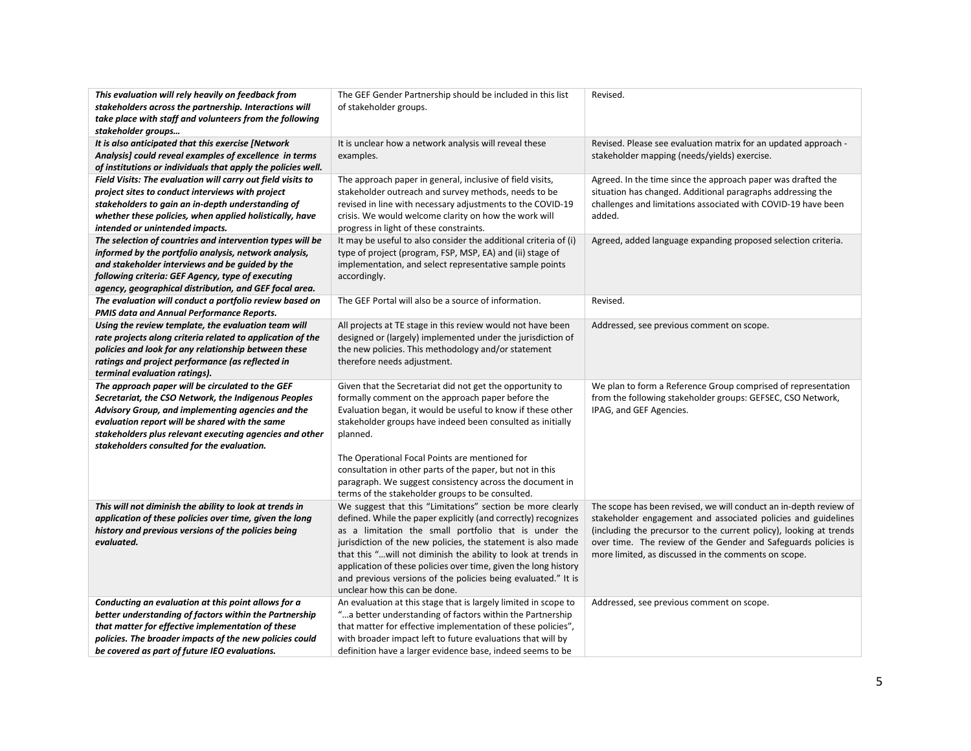| This evaluation will rely heavily on feedback from<br>stakeholders across the partnership. Interactions will<br>take place with staff and volunteers from the following<br>stakeholder groups                                                                                                                            | The GEF Gender Partnership should be included in this list<br>of stakeholder groups.                                                                                                                                                                                                                                                                                                                                                                                                         | Revised.                                                                                                                                                                                                                                                                                                                           |
|--------------------------------------------------------------------------------------------------------------------------------------------------------------------------------------------------------------------------------------------------------------------------------------------------------------------------|----------------------------------------------------------------------------------------------------------------------------------------------------------------------------------------------------------------------------------------------------------------------------------------------------------------------------------------------------------------------------------------------------------------------------------------------------------------------------------------------|------------------------------------------------------------------------------------------------------------------------------------------------------------------------------------------------------------------------------------------------------------------------------------------------------------------------------------|
| It is also anticipated that this exercise [Network<br>Analysis] could reveal examples of excellence in terms<br>of institutions or individuals that apply the policies well.                                                                                                                                             | It is unclear how a network analysis will reveal these<br>examples.                                                                                                                                                                                                                                                                                                                                                                                                                          | Revised. Please see evaluation matrix for an updated approach -<br>stakeholder mapping (needs/yields) exercise.                                                                                                                                                                                                                    |
| Field Visits: The evaluation will carry out field visits to<br>project sites to conduct interviews with project<br>stakeholders to gain an in-depth understanding of<br>whether these policies, when applied holistically, have<br>intended or unintended impacts.                                                       | The approach paper in general, inclusive of field visits,<br>stakeholder outreach and survey methods, needs to be<br>revised in line with necessary adjustments to the COVID-19<br>crisis. We would welcome clarity on how the work will<br>progress in light of these constraints.                                                                                                                                                                                                          | Agreed. In the time since the approach paper was drafted the<br>situation has changed. Additional paragraphs addressing the<br>challenges and limitations associated with COVID-19 have been<br>added.                                                                                                                             |
| The selection of countries and intervention types will be<br>informed by the portfolio analysis, network analysis,<br>and stakeholder interviews and be guided by the<br>following criteria: GEF Agency, type of executing<br>agency, geographical distribution, and GEF focal area.                                     | It may be useful to also consider the additional criteria of (i)<br>type of project (program, FSP, MSP, EA) and (ii) stage of<br>implementation, and select representative sample points<br>accordingly.                                                                                                                                                                                                                                                                                     | Agreed, added language expanding proposed selection criteria.                                                                                                                                                                                                                                                                      |
| The evaluation will conduct a portfolio review based on<br>PMIS data and Annual Performance Reports.                                                                                                                                                                                                                     | The GEF Portal will also be a source of information.                                                                                                                                                                                                                                                                                                                                                                                                                                         | Revised.                                                                                                                                                                                                                                                                                                                           |
| Using the review template, the evaluation team will<br>rate projects along criteria related to application of the<br>policies and look for any relationship between these<br>ratings and project performance (as reflected in<br>terminal evaluation ratings).                                                           | All projects at TE stage in this review would not have been<br>designed or (largely) implemented under the jurisdiction of<br>the new policies. This methodology and/or statement<br>therefore needs adjustment.                                                                                                                                                                                                                                                                             | Addressed, see previous comment on scope.                                                                                                                                                                                                                                                                                          |
| The approach paper will be circulated to the GEF<br>Secretariat, the CSO Network, the Indigenous Peoples<br>Advisory Group, and implementing agencies and the<br>evaluation report will be shared with the same<br>stakeholders plus relevant executing agencies and other<br>stakeholders consulted for the evaluation. | Given that the Secretariat did not get the opportunity to<br>formally comment on the approach paper before the<br>Evaluation began, it would be useful to know if these other<br>stakeholder groups have indeed been consulted as initially<br>planned.<br>The Operational Focal Points are mentioned for<br>consultation in other parts of the paper, but not in this<br>paragraph. We suggest consistency across the document in<br>terms of the stakeholder groups to be consulted.       | We plan to form a Reference Group comprised of representation<br>from the following stakeholder groups: GEFSEC, CSO Network,<br>IPAG, and GEF Agencies.                                                                                                                                                                            |
| This will not diminish the ability to look at trends in<br>application of these policies over time, given the long<br>history and previous versions of the policies being<br>evaluated.                                                                                                                                  | We suggest that this "Limitations" section be more clearly<br>defined. While the paper explicitly (and correctly) recognizes<br>as a limitation the small portfolio that is under the<br>jurisdiction of the new policies, the statement is also made<br>that this " will not diminish the ability to look at trends in<br>application of these policies over time, given the long history<br>and previous versions of the policies being evaluated." It is<br>unclear how this can be done. | The scope has been revised, we will conduct an in-depth review of<br>stakeholder engagement and associated policies and guidelines<br>(including the precursor to the current policy), looking at trends<br>over time. The review of the Gender and Safeguards policies is<br>more limited, as discussed in the comments on scope. |
| Conducting an evaluation at this point allows for a<br>better understanding of factors within the Partnership<br>that matter for effective implementation of these<br>policies. The broader impacts of the new policies could<br>be covered as part of future IEO evaluations.                                           | An evaluation at this stage that is largely limited in scope to<br>a better understanding of factors within the Partnership"<br>that matter for effective implementation of these policies",<br>with broader impact left to future evaluations that will by<br>definition have a larger evidence base, indeed seems to be                                                                                                                                                                    | Addressed, see previous comment on scope.                                                                                                                                                                                                                                                                                          |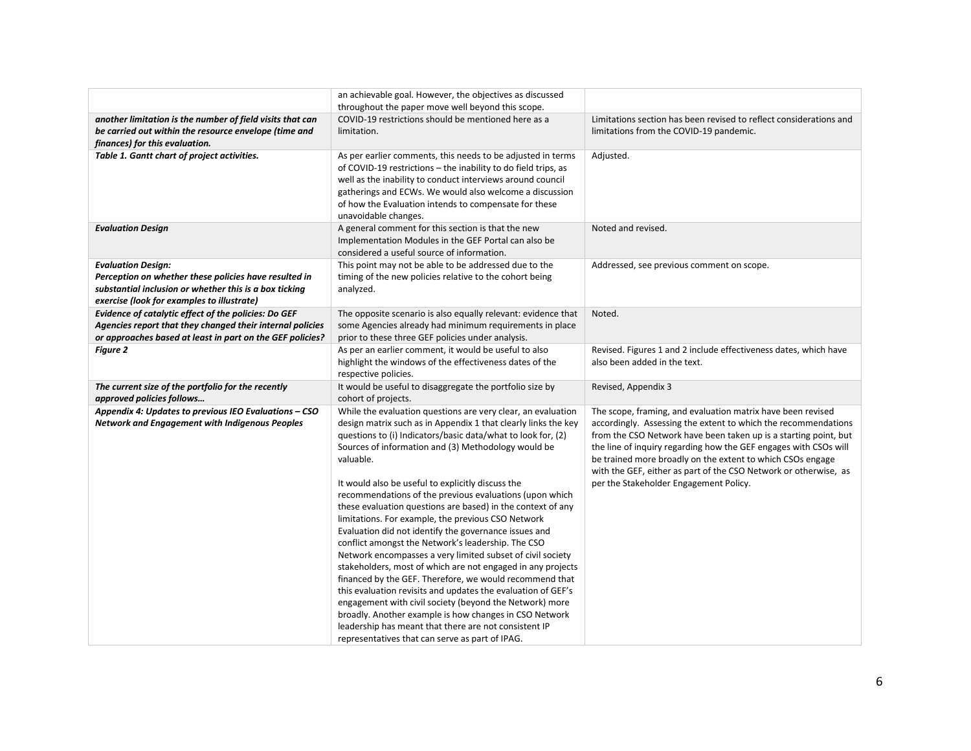|                                                                                                                        | an achievable goal. However, the objectives as discussed                                                                     |                                                                                                            |
|------------------------------------------------------------------------------------------------------------------------|------------------------------------------------------------------------------------------------------------------------------|------------------------------------------------------------------------------------------------------------|
|                                                                                                                        | throughout the paper move well beyond this scope.                                                                            |                                                                                                            |
| another limitation is the number of field visits that can                                                              | COVID-19 restrictions should be mentioned here as a                                                                          | Limitations section has been revised to reflect considerations and                                         |
| be carried out within the resource envelope (time and                                                                  | limitation.                                                                                                                  | limitations from the COVID-19 pandemic.                                                                    |
| finances) for this evaluation.                                                                                         |                                                                                                                              |                                                                                                            |
| Table 1. Gantt chart of project activities.                                                                            | As per earlier comments, this needs to be adjusted in terms                                                                  | Adjusted.                                                                                                  |
|                                                                                                                        | of COVID-19 restrictions - the inability to do field trips, as<br>well as the inability to conduct interviews around council |                                                                                                            |
|                                                                                                                        | gatherings and ECWs. We would also welcome a discussion                                                                      |                                                                                                            |
|                                                                                                                        | of how the Evaluation intends to compensate for these                                                                        |                                                                                                            |
|                                                                                                                        | unavoidable changes.                                                                                                         |                                                                                                            |
| <b>Evaluation Design</b>                                                                                               | A general comment for this section is that the new                                                                           | Noted and revised.                                                                                         |
|                                                                                                                        | Implementation Modules in the GEF Portal can also be                                                                         |                                                                                                            |
|                                                                                                                        | considered a useful source of information.                                                                                   |                                                                                                            |
| <b>Evaluation Design:</b>                                                                                              | This point may not be able to be addressed due to the                                                                        | Addressed, see previous comment on scope.                                                                  |
| Perception on whether these policies have resulted in                                                                  | timing of the new policies relative to the cohort being                                                                      |                                                                                                            |
| substantial inclusion or whether this is a box ticking                                                                 | analyzed.                                                                                                                    |                                                                                                            |
| exercise (look for examples to illustrate)                                                                             |                                                                                                                              |                                                                                                            |
| Evidence of catalytic effect of the policies: Do GEF                                                                   | The opposite scenario is also equally relevant: evidence that                                                                | Noted.                                                                                                     |
| Agencies report that they changed their internal policies<br>or approaches based at least in part on the GEF policies? | some Agencies already had minimum requirements in place<br>prior to these three GEF policies under analysis.                 |                                                                                                            |
| <b>Figure 2</b>                                                                                                        | As per an earlier comment, it would be useful to also                                                                        | Revised. Figures 1 and 2 include effectiveness dates, which have                                           |
|                                                                                                                        | highlight the windows of the effectiveness dates of the                                                                      | also been added in the text.                                                                               |
|                                                                                                                        | respective policies.                                                                                                         |                                                                                                            |
| The current size of the portfolio for the recently                                                                     | It would be useful to disaggregate the portfolio size by                                                                     | Revised, Appendix 3                                                                                        |
| approved policies follows                                                                                              | cohort of projects.                                                                                                          |                                                                                                            |
| Appendix 4: Updates to previous IEO Evaluations - CSO                                                                  | While the evaluation questions are very clear, an evaluation                                                                 | The scope, framing, and evaluation matrix have been revised                                                |
| Network and Engagement with Indigenous Peoples                                                                         | design matrix such as in Appendix 1 that clearly links the key                                                               | accordingly. Assessing the extent to which the recommendations                                             |
|                                                                                                                        | questions to (i) Indicators/basic data/what to look for, (2)                                                                 | from the CSO Network have been taken up is a starting point, but                                           |
|                                                                                                                        | Sources of information and (3) Methodology would be                                                                          | the line of inquiry regarding how the GEF engages with CSOs will                                           |
|                                                                                                                        | valuable.                                                                                                                    | be trained more broadly on the extent to which CSOs engage                                                 |
|                                                                                                                        | It would also be useful to explicitly discuss the                                                                            | with the GEF, either as part of the CSO Network or otherwise, as<br>per the Stakeholder Engagement Policy. |
|                                                                                                                        | recommendations of the previous evaluations (upon which                                                                      |                                                                                                            |
|                                                                                                                        | these evaluation questions are based) in the context of any                                                                  |                                                                                                            |
|                                                                                                                        | limitations. For example, the previous CSO Network                                                                           |                                                                                                            |
|                                                                                                                        | Evaluation did not identify the governance issues and                                                                        |                                                                                                            |
|                                                                                                                        | conflict amongst the Network's leadership. The CSO                                                                           |                                                                                                            |
|                                                                                                                        | Network encompasses a very limited subset of civil society                                                                   |                                                                                                            |
|                                                                                                                        | stakeholders, most of which are not engaged in any projects                                                                  |                                                                                                            |
|                                                                                                                        | financed by the GEF. Therefore, we would recommend that                                                                      |                                                                                                            |
|                                                                                                                        | this evaluation revisits and updates the evaluation of GEF's                                                                 |                                                                                                            |
|                                                                                                                        | engagement with civil society (beyond the Network) more                                                                      |                                                                                                            |
|                                                                                                                        | broadly. Another example is how changes in CSO Network                                                                       |                                                                                                            |
|                                                                                                                        | leadership has meant that there are not consistent IP                                                                        |                                                                                                            |
|                                                                                                                        | representatives that can serve as part of IPAG.                                                                              |                                                                                                            |